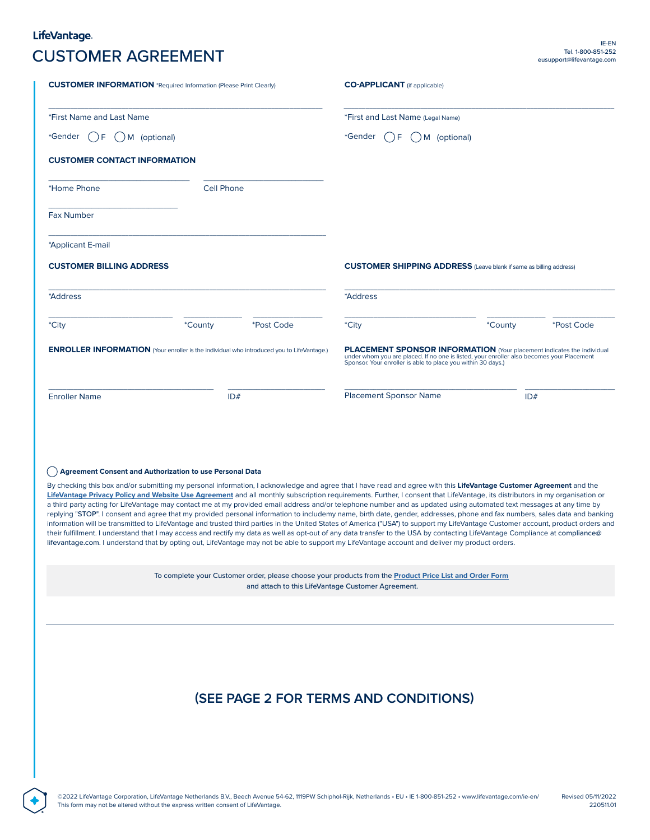## LifeVantage. Tel. 1-800-851-252 CUSTOMER AGREEMENT eusupport@lifevantage.com

| <b>CUSTOMER INFORMATION</b> *Required Information (Please Print Clearly)                         |                   |                                                    | <b>CO-APPLICANT</b> (if applicable)                                                                                                                                                                                                                                                                                                                                                                                                                                                                                                                                                                                                                                                                                                                                                                                                                                                                                                                                                                                                                    |                |            |
|--------------------------------------------------------------------------------------------------|-------------------|----------------------------------------------------|--------------------------------------------------------------------------------------------------------------------------------------------------------------------------------------------------------------------------------------------------------------------------------------------------------------------------------------------------------------------------------------------------------------------------------------------------------------------------------------------------------------------------------------------------------------------------------------------------------------------------------------------------------------------------------------------------------------------------------------------------------------------------------------------------------------------------------------------------------------------------------------------------------------------------------------------------------------------------------------------------------------------------------------------------------|----------------|------------|
| *First Name and Last Name                                                                        |                   |                                                    | *First and Last Name (Legal Name)                                                                                                                                                                                                                                                                                                                                                                                                                                                                                                                                                                                                                                                                                                                                                                                                                                                                                                                                                                                                                      |                |            |
| *Gender<br>$\rightarrow$ F<br>M (optional)                                                       |                   |                                                    | *Gender<br>F<br>M (optional)                                                                                                                                                                                                                                                                                                                                                                                                                                                                                                                                                                                                                                                                                                                                                                                                                                                                                                                                                                                                                           |                |            |
| <b>CUSTOMER CONTACT INFORMATION</b>                                                              |                   |                                                    |                                                                                                                                                                                                                                                                                                                                                                                                                                                                                                                                                                                                                                                                                                                                                                                                                                                                                                                                                                                                                                                        |                |            |
| *Home Phone                                                                                      | <b>Cell Phone</b> |                                                    |                                                                                                                                                                                                                                                                                                                                                                                                                                                                                                                                                                                                                                                                                                                                                                                                                                                                                                                                                                                                                                                        |                |            |
| <b>Fax Number</b>                                                                                |                   |                                                    |                                                                                                                                                                                                                                                                                                                                                                                                                                                                                                                                                                                                                                                                                                                                                                                                                                                                                                                                                                                                                                                        |                |            |
| *Applicant E-mail                                                                                |                   |                                                    |                                                                                                                                                                                                                                                                                                                                                                                                                                                                                                                                                                                                                                                                                                                                                                                                                                                                                                                                                                                                                                                        |                |            |
| <b>CUSTOMER BILLING ADDRESS</b>                                                                  |                   |                                                    | <b>CUSTOMER SHIPPING ADDRESS</b> (Leave blank if same as billing address)                                                                                                                                                                                                                                                                                                                                                                                                                                                                                                                                                                                                                                                                                                                                                                                                                                                                                                                                                                              |                |            |
| *Address                                                                                         |                   |                                                    | *Address                                                                                                                                                                                                                                                                                                                                                                                                                                                                                                                                                                                                                                                                                                                                                                                                                                                                                                                                                                                                                                               |                |            |
| *City                                                                                            | *County           | <i>*Post Code</i>                                  | *City                                                                                                                                                                                                                                                                                                                                                                                                                                                                                                                                                                                                                                                                                                                                                                                                                                                                                                                                                                                                                                                  | <i>*County</i> | *Post Code |
| <b>ENROLLER INFORMATION</b> (Your enroller is the individual who introduced you to LifeVantage.) |                   |                                                    | <b>PLACEMENT SPONSOR INFORMATION</b> (Your placement indicates the individual<br>under whom you are placed. If no one is listed, your enroller also becomes your Placement<br>Sponsor. Your enroller is able to place you within 30 days.)                                                                                                                                                                                                                                                                                                                                                                                                                                                                                                                                                                                                                                                                                                                                                                                                             |                |            |
| <b>Enroller Name</b>                                                                             | ID#               |                                                    | <b>Placement Sponsor Name</b>                                                                                                                                                                                                                                                                                                                                                                                                                                                                                                                                                                                                                                                                                                                                                                                                                                                                                                                                                                                                                          | ID#            |            |
| (c) Agreement Consent and Authorization to use Personal Data                                     |                   |                                                    | By checking this box and/or submitting my personal information, I acknowledge and agree that I have read and agree with this LifeVantage Customer Agreement and the                                                                                                                                                                                                                                                                                                                                                                                                                                                                                                                                                                                                                                                                                                                                                                                                                                                                                    |                |            |
|                                                                                                  |                   |                                                    | LifeVantage Privacy Policy and Website Use Agreement and all monthly subscription requirements. Further, I consent that LifeVantage, its distributors in my organisation or<br>a third party acting for LifeVantage may contact me at my provided email address and/or telephone number and as updated using automated text messages at any time by<br>replying "STOP". I consent and agree that my provided personal information to includemy name, birth date, gender, addresses, phone and fax numbers, sales data and banking<br>information will be transmitted to LifeVantage and trusted third parties in the United States of America ("USA") to support my LifeVantage Customer account, product orders and<br>their fulfillment. I understand that I may access and rectify my data as well as opt-out of any data transfer to the USA by contacting LifeVantage Compliance at compliance@<br>lifevantage.com. I understand that by opting out, LifeVantage may not be able to support my LifeVantage account and deliver my product orders. |                |            |
|                                                                                                  |                   | and attach to this LifeVantage Customer Agreement. | To complete your Customer order, please choose your products from the <b>Product Price List and Order Form</b>                                                                                                                                                                                                                                                                                                                                                                                                                                                                                                                                                                                                                                                                                                                                                                                                                                                                                                                                         |                |            |
|                                                                                                  |                   |                                                    |                                                                                                                                                                                                                                                                                                                                                                                                                                                                                                                                                                                                                                                                                                                                                                                                                                                                                                                                                                                                                                                        |                |            |
|                                                                                                  |                   |                                                    | (SEE PAGE 2 FOR TERMS AND CONDITIONS)                                                                                                                                                                                                                                                                                                                                                                                                                                                                                                                                                                                                                                                                                                                                                                                                                                                                                                                                                                                                                  |                |            |